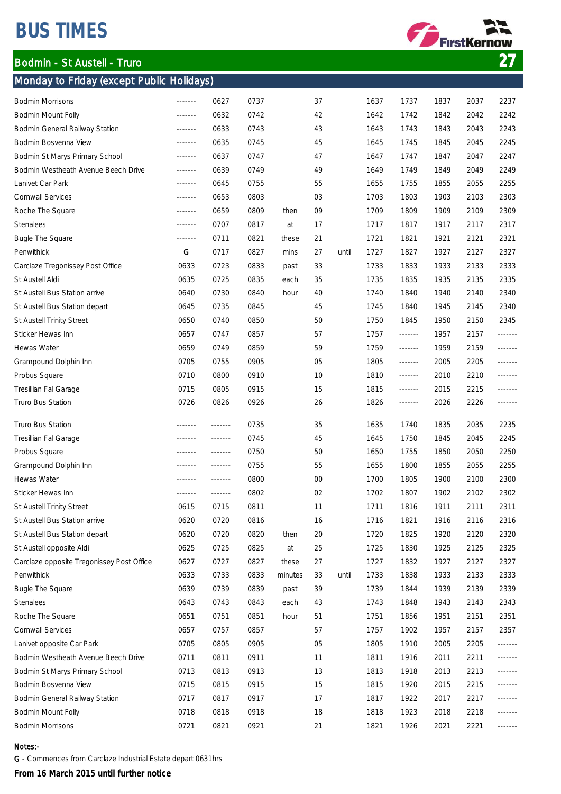# BUS TIMES

### Monday to Friday (except Public Holidays)



| Bodmin Morrisons                          |                                                                               | 0627    | 0737 |         | 37     |       | 1637 | 1737            | 1837 | 2037 | 2237    |
|-------------------------------------------|-------------------------------------------------------------------------------|---------|------|---------|--------|-------|------|-----------------|------|------|---------|
| Bodmin Mount Folly                        | $- - - - - - -$                                                               | 0632    | 0742 |         | 42     |       | 1642 | 1742            | 1842 | 2042 | 2242    |
| Bodmin General Railway Station            | $- - - - - - -$                                                               | 0633    | 0743 |         | 43     |       | 1643 | 1743            | 1843 | 2043 | 2243    |
| Bodmin Bosvenna View                      | $- - - - - - - -$                                                             | 0635    | 0745 |         | 45     |       | 1645 | 1745            | 1845 | 2045 | 2245    |
| Bodmin St Marys Primary School            | $\begin{array}{cccccccccc} \dots & \dots & \dots & \dots & \dots \end{array}$ | 0637    | 0747 |         | 47     |       | 1647 | 1747            | 1847 | 2047 | 2247    |
| Bodmin Westheath Avenue Beech Drive       | $- - - - - - -$                                                               | 0639    | 0749 |         | 49     |       | 1649 | 1749            | 1849 | 2049 | 2249    |
| Lanivet Car Park                          | $- - - - - - -$                                                               | 0645    | 0755 |         | 55     |       | 1655 | 1755            | 1855 | 2055 | 2255    |
| Cornwall Services                         | <u>-------</u>                                                                | 0653    | 0803 |         | 03     |       | 1703 | 1803            | 1903 | 2103 | 2303    |
| Roche The Square                          | $- - - - - - -$                                                               | 0659    | 0809 | then    | 09     |       | 1709 | 1809            | 1909 | 2109 | 2309    |
| Stenalees                                 | -------                                                                       | 0707    | 0817 | at      | 17     |       | 1717 | 1817            | 1917 | 2117 | 2317    |
| Bugle The Square                          | 1.1.1.1.1.1                                                                   | 0711    | 0821 | these   | 21     |       | 1721 | 1821            | 1921 | 2121 | 2321    |
| Penwithick                                | G                                                                             | 0717    | 0827 | mins    | 27     | until | 1727 | 1827            | 1927 | 2127 | 2327    |
| Carclaze Tregonissey Post Office          | 0633                                                                          | 0723    | 0833 | past    | 33     |       | 1733 | 1833            | 1933 | 2133 | 2333    |
| St Austell Aldi                           | 0635                                                                          | 0725    | 0835 | each    | 35     |       | 1735 | 1835            | 1935 | 2135 | 2335    |
| St Austell Bus Station arrive             | 0640                                                                          | 0730    | 0840 | hour    | 40     |       | 1740 | 1840            | 1940 | 2140 | 2340    |
| St Austell Bus Station depart             | 0645                                                                          | 0735    | 0845 |         | 45     |       | 1745 | 1840            | 1945 | 2145 | 2340    |
| St Austell Trinity Street                 | 0650                                                                          | 0740    | 0850 |         | 50     |       | 1750 | 1845            | 1950 | 2150 | 2345    |
| Sticker Hewas Inn                         | 0657                                                                          | 0747    | 0857 |         | 57     |       | 1757 |                 | 1957 | 2157 |         |
| Hewas Water                               | 0659                                                                          | 0749    | 0859 |         | 59     |       | 1759 | $- - - - - - -$ | 1959 | 2159 | ------- |
| Grampound Dolphin Inn                     | 0705                                                                          | 0755    | 0905 |         | 05     |       | 1805 | -------         | 2005 | 2205 | ------- |
| Probus Square                             | 0710                                                                          | 0800    | 0910 |         | 10     |       | 1810 | -------         | 2010 | 2210 |         |
| Tresillian Fal Garage                     | 0715                                                                          | 0805    | 0915 |         | 15     |       | 1815 |                 | 2015 | 2215 | ------- |
| Truro Bus Station                         | 0726                                                                          | 0826    | 0926 |         | 26     |       | 1826 | -------         | 2026 | 2226 | ------- |
|                                           |                                                                               |         |      |         |        |       |      |                 |      |      |         |
| Truro Bus Station                         | <b><i><u>_______</u></i></b>                                                  | ------- | 0735 |         | 35     |       | 1635 | 1740            | 1835 | 2035 | 2235    |
| Tresillian Fal Garage                     |                                                                               | ------- | 0745 |         | 45     |       | 1645 | 1750            | 1845 | 2045 | 2245    |
| Probus Square                             | <b><i><u><u></u></u></i></b>                                                  | ------- | 0750 |         | 50     |       | 1650 | 1755            | 1850 | 2050 | 2250    |
| Grampound Dolphin Inn                     | <b><i><u>_______</u></i></b>                                                  | ------- | 0755 |         | 55     |       | 1655 | 1800            | 1855 | 2055 | 2255    |
| Hewas Water                               |                                                                               | ------- | 0800 |         | $00\,$ |       | 1700 | 1805            | 1900 | 2100 | 2300    |
| Sticker Hewas Inn                         |                                                                               | ------- | 0802 |         | 02     |       | 1702 | 1807            | 1902 | 2102 | 2302    |
| St Austell Trinity Street                 | 0615                                                                          | 0715    | 0811 |         | 11     |       | 1711 | 1816            | 1911 | 2111 | 2311    |
| St Austell Bus Station arrive             | 0620                                                                          | 0720    | 0816 |         | 16     |       | 1716 | 1821            | 1916 | 2116 | 2316    |
| St Austell Bus Station depart             | 0620                                                                          | 0720    | 0820 | then    | 20     |       | 1720 | 1825            | 1920 | 2120 | 2320    |
| St Austell opposite Aldi                  | 0625                                                                          | 0725    | 0825 | at      | 25     |       | 1725 | 1830            | 1925 | 2125 | 2325    |
| Carclaze opposite Tregonissey Post Office | 0627                                                                          | 0727    | 0827 | these   | 27     |       | 1727 | 1832            | 1927 | 2127 | 2327    |
| Penwithick                                | 0633                                                                          | 0733    | 0833 | minutes | 33     | until | 1733 | 1838            | 1933 | 2133 | 2333    |
| Bugle The Square                          | 0639                                                                          | 0739    | 0839 | past    | 39     |       | 1739 | 1844            | 1939 | 2139 | 2339    |
| Stenalees                                 | 0643                                                                          | 0743    | 0843 | each    | 43     |       | 1743 | 1848            | 1943 | 2143 | 2343    |
| Roche The Square                          | 0651                                                                          | 0751    | 0851 | hour    | 51     |       | 1751 | 1856            | 1951 | 2151 | 2351    |
| Cornwall Services                         | 0657                                                                          | 0757    | 0857 |         | 57     |       | 1757 | 1902            | 1957 | 2157 | 2357    |
| Lanivet opposite Car Park                 | 0705                                                                          | 0805    | 0905 |         | 05     |       | 1805 | 1910            | 2005 | 2205 |         |
| Bodmin Westheath Avenue Beech Drive       | 0711                                                                          | 0811    | 0911 |         | 11     |       | 1811 | 1916            | 2011 | 2211 | ------- |
| Bodmin St Marys Primary School            | 0713                                                                          | 0813    | 0913 |         | 13     |       | 1813 | 1918            | 2013 | 2213 |         |
|                                           |                                                                               |         |      |         |        |       |      |                 |      |      |         |
| Bodmin Bosvenna View                      | 0715                                                                          | 0815    | 0915 |         | 15     |       | 1815 | 1920            | 2015 | 2215 |         |
| Bodmin General Railway Station            | 0717                                                                          | 0817    | 0917 |         | 17     |       | 1817 | 1922            | 2017 | 2217 | ------- |
| Bodmin Mount Folly                        | 0718                                                                          | 0818    | 0918 |         | 18     |       | 1818 | 1923            | 2018 | 2218 |         |

#### Notes:-

G - Commences from Carclaze Industrial Estate depart 0631hrs

From 16 March 2015 until further notice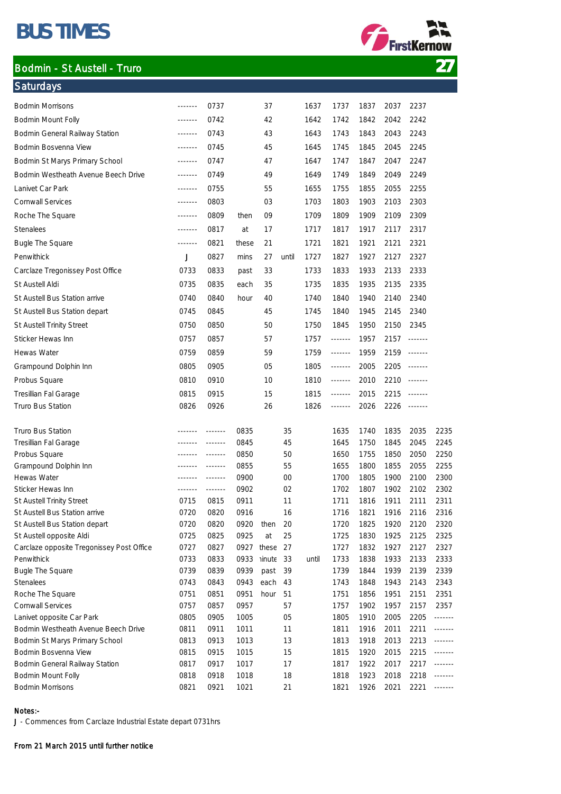# BUS TIMES

**Saturdays** 

# Bodmin - St Austell - Truro 27



| <b>Bodmin Morrisons</b>                   | $\begin{array}{cccccccccc} \multicolumn{2}{c}{} & \multicolumn{2}{c}{} & \multicolumn{2}{c}{} & \multicolumn{2}{c}{} & \multicolumn{2}{c}{} & \multicolumn{2}{c}{} & \multicolumn{2}{c}{} & \multicolumn{2}{c}{} & \multicolumn{2}{c}{} & \multicolumn{2}{c}{} & \multicolumn{2}{c}{} & \multicolumn{2}{c}{} & \multicolumn{2}{c}{} & \multicolumn{2}{c}{} & \multicolumn{2}{c}{} & \multicolumn{2}{c}{} & \multicolumn{2}{c}{} & \multicolumn{2}{c}{} & \multicolumn{2}{c}{} & \mult$ | 0737    |       | 37        |       | 1637  | 1737            | 1837 | 2037 | 2237            |         |
|-------------------------------------------|----------------------------------------------------------------------------------------------------------------------------------------------------------------------------------------------------------------------------------------------------------------------------------------------------------------------------------------------------------------------------------------------------------------------------------------------------------------------------------------|---------|-------|-----------|-------|-------|-----------------|------|------|-----------------|---------|
| Bodmin Mount Folly                        | <b><i><u>_______</u></i></b>                                                                                                                                                                                                                                                                                                                                                                                                                                                           | 0742    |       | 42        |       | 1642  | 1742            | 1842 | 2042 | 2242            |         |
| Bodmin General Railway Station            | -------                                                                                                                                                                                                                                                                                                                                                                                                                                                                                | 0743    |       | 43        |       | 1643  | 1743            | 1843 | 2043 | 2243            |         |
| Bodmin Bosvenna View                      | -------                                                                                                                                                                                                                                                                                                                                                                                                                                                                                | 0745    |       | 45        |       | 1645  | 1745            | 1845 | 2045 | 2245            |         |
| Bodmin St Marys Primary School            | $- - - - - - -$                                                                                                                                                                                                                                                                                                                                                                                                                                                                        | 0747    |       | 47        |       | 1647  | 1747            | 1847 | 2047 | 2247            |         |
| Bodmin Westheath Avenue Beech Drive       | $- - - - - - -$                                                                                                                                                                                                                                                                                                                                                                                                                                                                        | 0749    |       | 49        |       | 1649  | 1749            | 1849 | 2049 | 2249            |         |
| Lanivet Car Park                          | -------                                                                                                                                                                                                                                                                                                                                                                                                                                                                                | 0755    |       | 55        |       | 1655  | 1755            | 1855 | 2055 | 2255            |         |
| <b>Cornwall Services</b>                  |                                                                                                                                                                                                                                                                                                                                                                                                                                                                                        | 0803    |       | 03        |       | 1703  | 1803            | 1903 | 2103 | 2303            |         |
| Roche The Square                          | $- - - - - - -$                                                                                                                                                                                                                                                                                                                                                                                                                                                                        | 0809    | then  | 09        |       | 1709  | 1809            | 1909 | 2109 | 2309            |         |
| <b>Stenalees</b>                          | -------                                                                                                                                                                                                                                                                                                                                                                                                                                                                                | 0817    | at    | 17        |       | 1717  | 1817            | 1917 | 2117 | 2317            |         |
| <b>Bugle The Square</b>                   | -------                                                                                                                                                                                                                                                                                                                                                                                                                                                                                | 0821    | these | 21        |       | 1721  | 1821            | 1921 | 2121 | 2321            |         |
| Penwithick                                | J                                                                                                                                                                                                                                                                                                                                                                                                                                                                                      | 0827    | mins  | 27        | until | 1727  | 1827            | 1927 | 2127 | 2327            |         |
| Carclaze Tregonissey Post Office          | 0733                                                                                                                                                                                                                                                                                                                                                                                                                                                                                   | 0833    | past  | 33        |       | 1733  | 1833            | 1933 | 2133 | 2333            |         |
| St Austell Aldi                           | 0735                                                                                                                                                                                                                                                                                                                                                                                                                                                                                   | 0835    | each  | 35        |       | 1735  | 1835            | 1935 | 2135 | 2335            |         |
| St Austell Bus Station arrive             | 0740                                                                                                                                                                                                                                                                                                                                                                                                                                                                                   | 0840    | hour  | 40        |       | 1740  | 1840            | 1940 | 2140 | 2340            |         |
| St Austell Bus Station depart             | 0745                                                                                                                                                                                                                                                                                                                                                                                                                                                                                   | 0845    |       | 45        |       | 1745  | 1840            | 1945 | 2145 | 2340            |         |
|                                           | 0750                                                                                                                                                                                                                                                                                                                                                                                                                                                                                   | 0850    |       | 50        |       | 1750  | 1845            | 1950 | 2150 | 2345            |         |
| St Austell Trinity Street                 |                                                                                                                                                                                                                                                                                                                                                                                                                                                                                        |         |       |           |       |       |                 |      |      |                 |         |
| Sticker Hewas Inn                         | 0757                                                                                                                                                                                                                                                                                                                                                                                                                                                                                   | 0857    |       | 57        |       | 1757  | $- - - - - - -$ | 1957 | 2157 | $- - - - - - -$ |         |
| Hewas Water                               | 0759                                                                                                                                                                                                                                                                                                                                                                                                                                                                                   | 0859    |       | 59        |       | 1759  |                 | 1959 | 2159 | 1.1.1.1.1.1     |         |
| Grampound Dolphin Inn                     | 0805                                                                                                                                                                                                                                                                                                                                                                                                                                                                                   | 0905    |       | 05        |       | 1805  | -------         | 2005 | 2205 | $- - - - - - -$ |         |
| Probus Square                             | 0810                                                                                                                                                                                                                                                                                                                                                                                                                                                                                   | 0910    |       | 10        |       | 1810  | 1.1.1.1.1.1     | 2010 | 2210 | 1.1.1.1.1.1     |         |
| Tresillian Fal Garage                     | 0815                                                                                                                                                                                                                                                                                                                                                                                                                                                                                   | 0915    |       | 15        |       | 1815  | -------         | 2015 | 2215 | $- - - - - - -$ |         |
| Truro Bus Station                         | 0826                                                                                                                                                                                                                                                                                                                                                                                                                                                                                   | 0926    |       | 26        |       | 1826  |                 | 2026 | 2226 | 111111111       |         |
| Truro Bus Station                         | <b><i><u><u></u></u></i></b>                                                                                                                                                                                                                                                                                                                                                                                                                                                           | ------- | 0835  |           | 35    |       | 1635            | 1740 | 1835 | 2035            | 2235    |
| Tresillian Fal Garage                     | -------                                                                                                                                                                                                                                                                                                                                                                                                                                                                                | ------- | 0845  |           | 45    |       | 1645            | 1750 | 1845 | 2045            | 2245    |
| Probus Square                             | -------                                                                                                                                                                                                                                                                                                                                                                                                                                                                                | ------- | 0850  |           | 50    |       | 1650            | 1755 | 1850 | 2050            | 2250    |
| Grampound Dolphin Inn                     | -------                                                                                                                                                                                                                                                                                                                                                                                                                                                                                | ------- | 0855  |           | 55    |       | 1655            | 1800 | 1855 | 2055            | 2255    |
| Hewas Water                               | <b><i><u><u></u></u></i></b>                                                                                                                                                                                                                                                                                                                                                                                                                                                           | ------- | 0900  |           | 00    |       | 1700            | 1805 | 1900 | 2100            | 2300    |
| Sticker Hewas Inn                         | <u></u>                                                                                                                                                                                                                                                                                                                                                                                                                                                                                | ------- | 0902  |           | 02    |       | 1702            | 1807 | 1902 | 2102            | 2302    |
| St Austell Trinity Street                 | 0715                                                                                                                                                                                                                                                                                                                                                                                                                                                                                   | 0815    | 0911  |           | 11    |       | 1711            | 1816 | 1911 | 2111            | 2311    |
| St Austell Bus Station arrive             | 0720                                                                                                                                                                                                                                                                                                                                                                                                                                                                                   | 0820    | 0916  |           | 16    |       | 1716            | 1821 | 1916 | 2116            | 2316    |
| St Austell Bus Station depart             | 0720                                                                                                                                                                                                                                                                                                                                                                                                                                                                                   | 0820    |       | 0920 then | 20    |       | 1720            | 1825 | 1920 | 2120            | 2320    |
| St Austell opposite Aldi                  | 0725                                                                                                                                                                                                                                                                                                                                                                                                                                                                                   | 0825    | 0925  | at        | 25    |       | 1725            | 1830 | 1925 | 2125            | 2325    |
| Carclaze opposite Tregonissey Post Office | 0727                                                                                                                                                                                                                                                                                                                                                                                                                                                                                   | 0827    | 0927  | these     | 27    |       | 1727            | 1832 | 1927 | 2127            | 2327    |
| Penwithick                                | 0733                                                                                                                                                                                                                                                                                                                                                                                                                                                                                   | 0833    | 0933  | ninute    | 33    | until | 1733            | 1838 | 1933 | 2133            | 2333    |
| <b>Bugle The Square</b>                   | 0739                                                                                                                                                                                                                                                                                                                                                                                                                                                                                   | 0839    | 0939  | past      | 39    |       | 1739            | 1844 | 1939 | 2139            | 2339    |
| Stenalees                                 | 0743                                                                                                                                                                                                                                                                                                                                                                                                                                                                                   | 0843    | 0943  | each      | 43    |       | 1743            | 1848 | 1943 | 2143            | 2343    |
| Roche The Square                          | 0751                                                                                                                                                                                                                                                                                                                                                                                                                                                                                   | 0851    | 0951  | hour      | 51    |       | 1751            | 1856 | 1951 | 2151            | 2351    |
| Cornwall Services                         | 0757                                                                                                                                                                                                                                                                                                                                                                                                                                                                                   | 0857    | 0957  |           | 57    |       | 1757            | 1902 | 1957 | 2157            | 2357    |
| Lanivet opposite Car Park                 | 0805                                                                                                                                                                                                                                                                                                                                                                                                                                                                                   | 0905    | 1005  |           | 05    |       | 1805            | 1910 | 2005 | 2205            | ------- |
| Bodmin Westheath Avenue Beech Drive       | 0811                                                                                                                                                                                                                                                                                                                                                                                                                                                                                   | 0911    | 1011  |           | 11    |       | 1811            | 1916 | 2011 | 2211            | ------- |
| Bodmin St Marys Primary School            | 0813                                                                                                                                                                                                                                                                                                                                                                                                                                                                                   | 0913    | 1013  |           | 13    |       | 1813            | 1918 | 2013 | 2213            | ------- |
| Bodmin Bosvenna View                      | 0815                                                                                                                                                                                                                                                                                                                                                                                                                                                                                   | 0915    | 1015  |           | 15    |       | 1815            | 1920 | 2015 | 2215            | ------- |
| Bodmin General Railway Station            | 0817                                                                                                                                                                                                                                                                                                                                                                                                                                                                                   | 0917    | 1017  |           | 17    |       | 1817            | 1922 | 2017 | 2217            |         |
| Bodmin Mount Folly                        | 0818                                                                                                                                                                                                                                                                                                                                                                                                                                                                                   | 0918    | 1018  |           | 18    |       | 1818            | 1923 | 2018 | 2218            | ------- |
| Bodmin Morrisons                          | 0821                                                                                                                                                                                                                                                                                                                                                                                                                                                                                   | 0921    | 1021  |           | 21    |       | 1821            | 1926 | 2021 | 2221            |         |

#### Notes:-

J - Commences from Carclaze Industrial Estate depart 0731hrs

#### From 21 March 2015 until further notiice